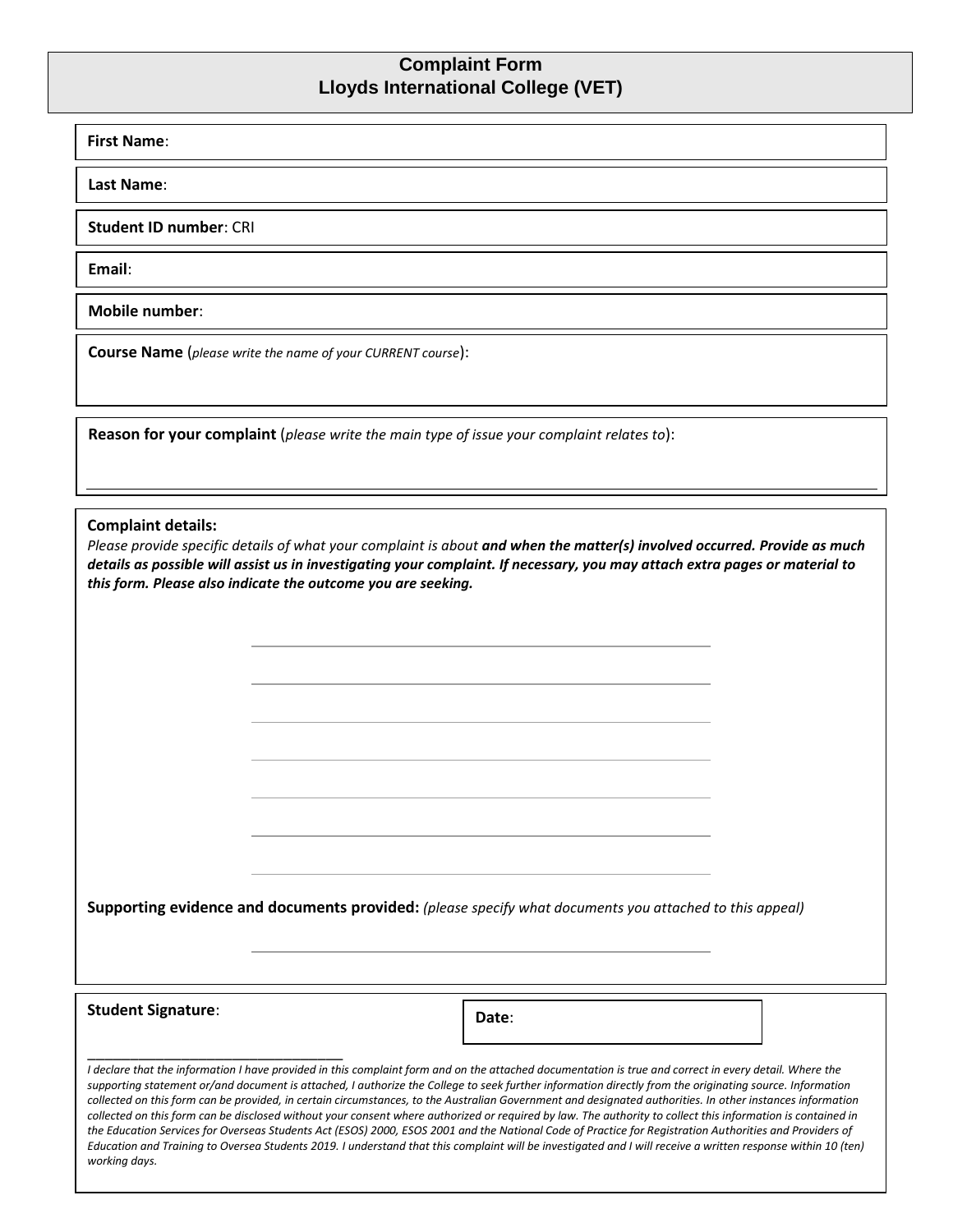## **Complaint Form Lloyds International College (VET)**

## **First Name**:

**Last Name**:

**Student ID number**: CRI

**Email**:

**Mobile number**:

**Course Name** (*please write the name of your CURRENT course*):

**Reason for your complaint** (*please write the main type of issue your complaint relates to*):

## **Complaint details:**

*Please provide specific details of what your complaint is about and when the matter(s) involved occurred. Provide as much details as possible will assist us in investigating your complaint. If necessary, you may attach extra pages or material to this form. Please also indicate the outcome you are seeking.* 

**Supporting evidence and documents provided:** *(please specify what documents you attached to this appeal)*

**Student Signature**:

\_\_\_\_\_\_\_\_\_\_\_\_\_\_\_\_\_\_\_\_\_\_\_\_\_\_\_\_\_\_

**Date**:

*I declare that the information I have provided in this complaint form and on the attached documentation is true and correct in every detail. Where the* **Date**:*supporting statement or/and document is attached, I authorize the College to seek further information directly from the originating source. Information collected on this form can be provided, in certain circumstances, to the Australian Government and designated authorities. In other instances information collected on this form can be disclosed without your consent where authorized or required by law. The authority to collect this information is contained in the Education Services for Overseas Students Act (ESOS) 2000, ESOS 2001 and the National Code of Practice for Registration Authorities and Providers of*  Education and Training to Oversea Students 2019. I understand that this complaint will be investigated and I will receive a written response within 10 (ten) *working days.*